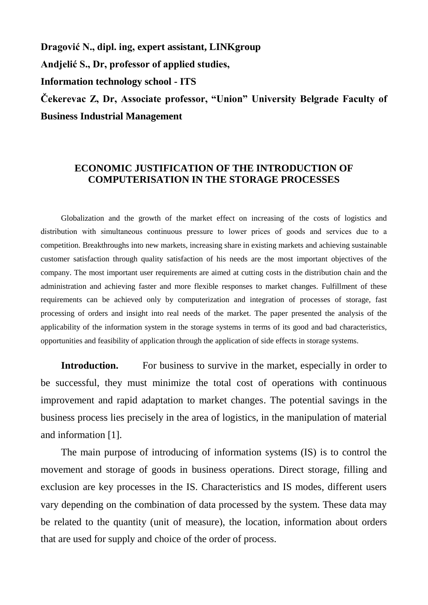**Dragović N., dipl. ing, expert assistant, LINKgroup Andjelić S., Dr, professor of applied studies, Information technology school - ITS Čekerevac Z, Dr, Associate professor, "Union" University Belgrade Faculty of Business Industrial Management**

## **ECONOMIC JUSTIFICATION OF THE INTRODUCTION OF COMPUTERISATION IN THE STORAGE PROCESSES**

Globalization and the growth of the market effect on increasing of the costs of logistics and distribution with simultaneous continuous pressure to lower prices of goods and services due to а competition. Breakthroughs into new markets, increasing share in existing markets and achieving sustainable customer satisfaction through quality satisfaction of his needs are the most important objectives of the company. The most important user requirements are aimed at cutting costs in the distribution chain and the administration and achieving faster and more flexible responses to market changes. Fulfillment of these requirements can be achieved only by computerization and integration of processes of storage, fast processing of orders and insight into real needs of the market. The paper presented the analysis of the applicability of the information system in the storage systems in terms of its good and bad characteristics, opportunities and feasibility of application through the application of side effects in storage systems.

**Introduction.** For business to survive in the market, especially in order to be successful, they must minimize the total cost of operations with continuous improvement and rapid adaptation to market changes. The potential savings in the business process lies precisely in the area of logistics, in the manipulation of material and information [1].

The main purpose of introducing of information systems (IS) is to control the movement and storage of goods in business operations. Direct storage, filling and exclusion are key processes in the IS. Characteristics and IS modes, different users vary depending on the combination of data processed by the system. These data may be related to the quantity (unit of measure), the location, information about orders that are used for supply and choice of the order of process.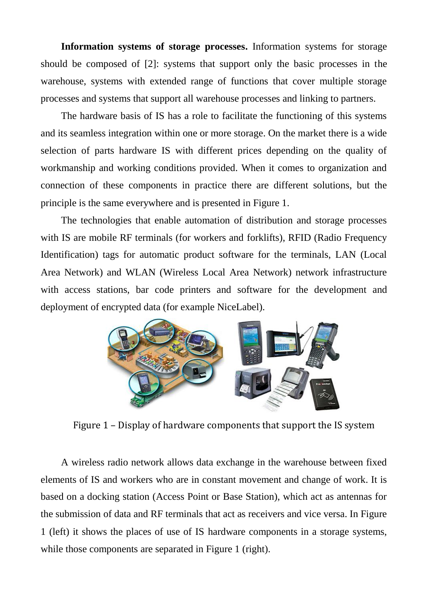**Information systems of storage processes.** Information systems for storage should be composed of [2]: systems that support only the basic processes in the warehouse, systems with extended range of functions that cover multiple storage processes and systems that support all warehouse processes and linking to partners.

The hardware basis of IS has a role to facilitate the functioning of this systems and its seamless integration within one or more storage. On the market there is a wide selection of parts hardware IS with different prices depending on the quality of workmanship and working conditions provided. When it comes to organization and connection of these components in practice there are different solutions, but the principle is the same everywhere and is presented in Figure 1.

The technologies that enable automation of distribution and storage processes with IS are mobile RF terminals (for workers and forklifts), RFID (Radio Frequency Identification) tags for automatic product software for the terminals, LAN (Local Area Network) and WLAN (Wireless Local Area Network) network infrastructure with access stations, bar code printers and software for the development and deployment of encrypted data (for example NiceLabel).



Figure 1 – Display of hardware components that support the IS system

A wireless radio network allows data exchange in the warehouse between fixed elements of IS and workers who are in constant movement and change of work. It is based on a docking station (Access Point or Base Station), which act as antennas for the submission of data and RF terminals that act as receivers and vice versa. In Figure 1 (left) it shows the places of use of IS hardware components in a storage systems, while those components are separated in Figure 1 (right).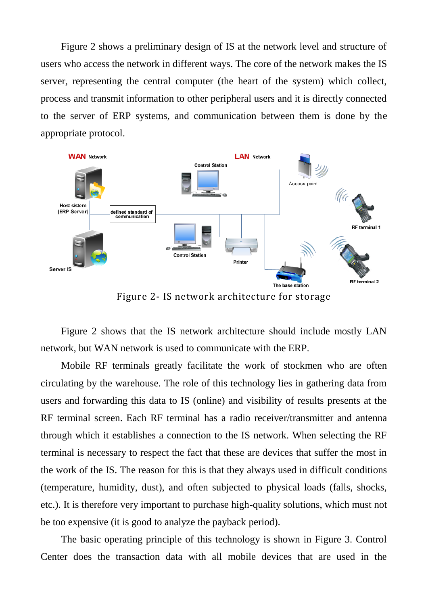Figure 2 shows a preliminary design of IS at the network level and structure of users who access the network in different ways. The core of the network makes the IS server, representing the central computer (the heart of the system) which collect, process and transmit information to other peripheral users and it is directly connected to the server of ERP systems, and communication between them is done by the appropriate protocol.



Figure 2- IS network architecture for storage

Figure 2 shows that the IS network architecture should include mostly LAN network, but WAN network is used to communicate with the ERP.

Mobile RF terminals greatly facilitate the work of stockmen who are often circulating by the warehouse. The role of this technology lies in gathering data from users and forwarding this data to IS (online) and visibility of results presents at the RF terminal screen. Each RF terminal has a radio receiver/transmitter and antenna through which it establishes a connection to the IS network. When selecting the RF terminal is necessary to respect the fact that these are devices that suffer the most in the work of the IS. The reason for this is that they always used in difficult conditions (temperature, humidity, dust), and often subjected to physical loads (falls, shocks, etc.). It is therefore very important to purchase high-quality solutions, which must not be too expensive (it is good to analyze the payback period).

The basic operating principle of this technology is shown in Figure 3. Control Center does the transaction data with all mobile devices that are used in the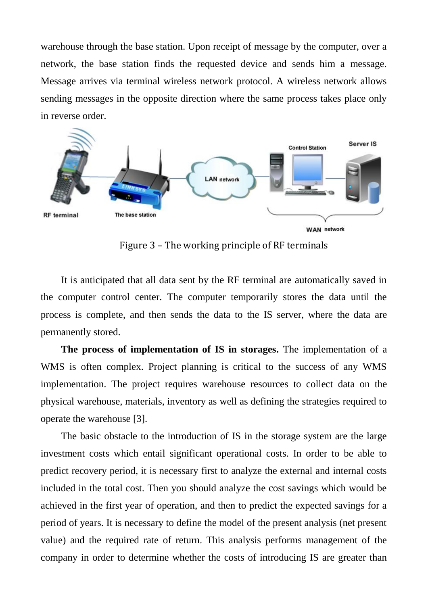warehouse through the base station. Upon receipt of message by the computer, over a network, the base station finds the requested device and sends him a message. Message arrives via terminal wireless network protocol. A wireless network allows sending messages in the opposite direction where the same process takes place only in reverse order.



Figure 3 – The working principle of RF terminals

It is anticipated that all data sent by the RF terminal are automatically saved in the computer control center. The computer temporarily stores the data until the process is complete, and then sends the data to the IS server, where the data are permanently stored.

**The process of implementation of IS in storages.** The implementation of a WMS is often complex. Project planning is critical to the success of any WMS implementation. The project requires warehouse resources to collect data on the physical warehouse, materials, inventory as well as defining the strategies required to operate the warehouse [3].

The basic obstacle to the introduction of IS in the storage system are the large investment costs which entail significant operational costs. In order to be able to predict recovery period, it is necessary first to analyze the external and internal costs included in the total cost. Then you should analyze the cost savings which would be achieved in the first year of operation, and then to predict the expected savings for a period of years. It is necessary to define the model of the present analysis (net present value) and the required rate of return. This analysis performs management of the company in order to determine whether the costs of introducing IS are greater than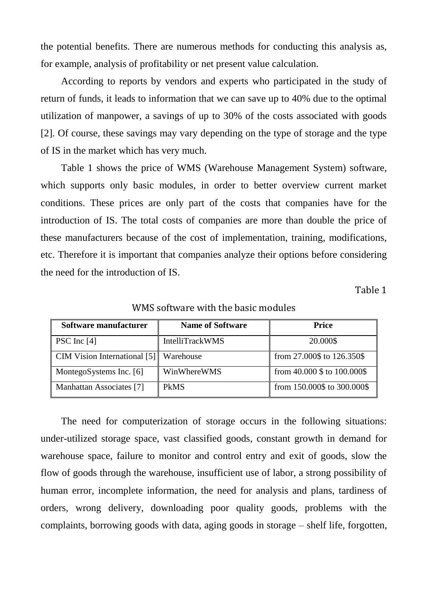the potential benefits. There are numerous methods for conducting this analysis as, for example, analysis of profitability or net present value calculation.

According to reports by vendors and experts who participated in the study of return of funds, it leads to information that we can save up to 40% due to the optimal utilization of manpower, a savings of up to 30% of the costs associated with goods [2]. Of course, these savings may vary depending on the type of storage and the type of IS in the market which has very much.

Table 1 shows the price of WMS (Warehouse Management System) software, which supports only basic modules, in order to better overview current market conditions. These prices are only part of the costs that companies have for the introduction of IS. The total costs of companies are more than double the price of these manufacturers because of the cost of implementation, training, modifications, etc. Therefore it is important that companies analyze their options before considering the need for the introduction of IS.

Table 1

| Software manufacturer        | <b>Name of Software</b> | <b>Price</b>                     |
|------------------------------|-------------------------|----------------------------------|
| PSC Inc $[4]$                | <b>IntelliTrackWMS</b>  | 20.000\$                         |
| CIM Vision International [5] | Warehouse               | from 27.000\$ to 126.350\$       |
| MontegoSystems Inc. [6]      | WinWhereWMS             | from $40.000$ \$ to $100.000$ \$ |
| Manhattan Associates [7]     | <b>PkMS</b>             | from 150.000\$ to 300.000\$      |

WMS software with the basic modules

The need for computerization of storage occurs in the following situations: under-utilized storage space, vast classified goods, constant growth in demand for warehouse space, failure to monitor and control entry and exit of goods, slow the flow of goods through the warehouse, insufficient use of labor, a strong possibility of human error, incomplete information, the need for analysis and plans, tardiness of orders, wrong delivery, downloading poor quality goods, problems with the complaints, borrowing goods with data, aging goods in storage – shelf life, forgotten,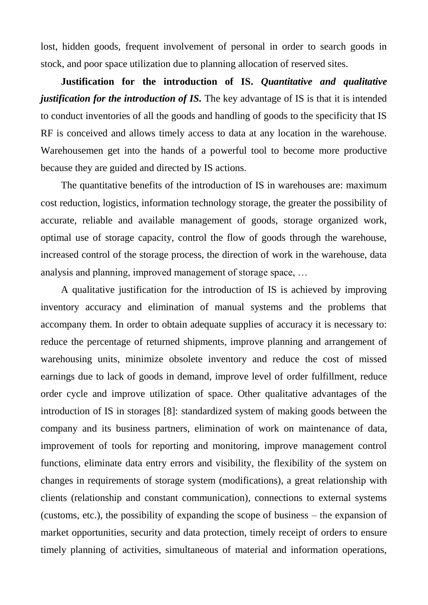lost, hidden goods, frequent involvement of personal in order to search goods in stock, and poor space utilization due to planning allocation of reserved sites.

**Justification for the introduction of IS.** *Quantitative and qualitative justification for the introduction of IS.* The key advantage of IS is that it is intended to conduct inventories of all the goods and handling of goods to the specificity that IS RF is conceived and allows timely access to data at any location in the warehouse. Warehousemen get into the hands of a powerful tool to become more productive because they are guided and directed by IS actions.

The quantitative benefits of the introduction of IS in warehouses are: maximum cost reduction, logistics, information technology storage, the greater the possibility of accurate, reliable and available management of goods, storage organized work, optimal use of storage capacity, control the flow of goods through the warehouse, increased control of the storage process, the direction of work in the warehouse, data analysis and planning, improved management of storage space, …

A qualitative justification for the introduction of IS is achieved by improving inventory accuracy and elimination of manual systems and the problems that accompany them. In order to obtain adequate supplies of accuracy it is necessary to: reduce the percentage of returned shipments, improve planning and arrangement of warehousing units, minimize obsolete inventory and reduce the cost of missed earnings due to lack of goods in demand, improve level of order fulfillment, reduce order cycle and improve utilization of space. Other qualitative advantages of the introduction of IS in storages [8]: standardized system of making goods between the company and its business partners, elimination of work on maintenance of data, improvement of tools for reporting and monitoring, improve management control functions, eliminate data entry errors and visibility, the flexibility of the system on changes in requirements of storage system (modifications), a great relationship with clients (relationship and constant communication), connections to external systems (customs, etc.), the possibility of expanding the scope of business – the expansion of market opportunities, security and data protection, timely receipt of orders to ensure timely planning of activities, simultaneous of material and information operations,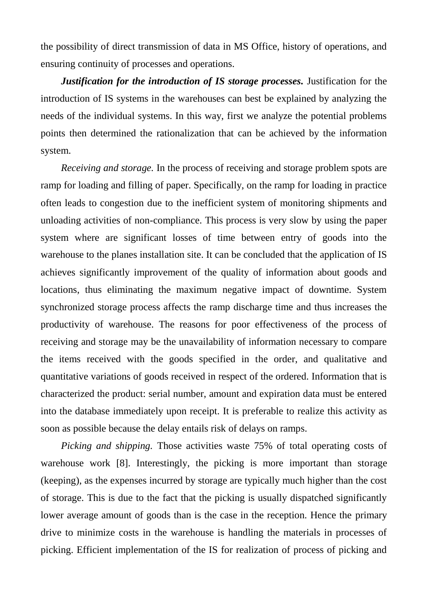the possibility of direct transmission of data in MS Office, history of operations, and ensuring continuity of processes and operations.

*Justification for the introduction of IS storage processes.* Justification for the introduction of IS systems in the warehouses can best be explained by analyzing the needs of the individual systems. In this way, first we analyze the potential problems points then determined the rationalization that can be achieved by the information system.

*Receiving and storage.* In the process of receiving and storage problem spots are ramp for loading and filling of paper. Specifically, on the ramp for loading in practice often leads to congestion due to the inefficient system of monitoring shipments and unloading activities of non-compliance. This process is very slow by using the paper system where are significant losses of time between entry of goods into the warehouse to the planes installation site. It can be concluded that the application of IS achieves significantly improvement of the quality of information about goods and locations, thus eliminating the maximum negative impact of downtime. System synchronized storage process affects the ramp discharge time and thus increases the productivity of warehouse. The reasons for poor effectiveness of the process of receiving and storage may be the unavailability of information necessary to compare the items received with the goods specified in the order, and qualitative and quantitative variations of goods received in respect of the ordered. Information that is characterized the product: serial number, amount and expiration data must be entered into the database immediately upon receipt. It is preferable to realize this activity as soon as possible because the delay entails risk of delays on ramps.

*Picking and shipping.* Those activities waste 75% of total operating costs of warehouse work [8]. Interestingly, the picking is more important than storage (keeping), as the expenses incurred by storage are typically much higher than the cost of storage. This is due to the fact that the picking is usually dispatched significantly lower average amount of goods than is the case in the reception. Hence the primary drive to minimize costs in the warehouse is handling the materials in processes of picking. Efficient implementation of the IS for realization of process of picking and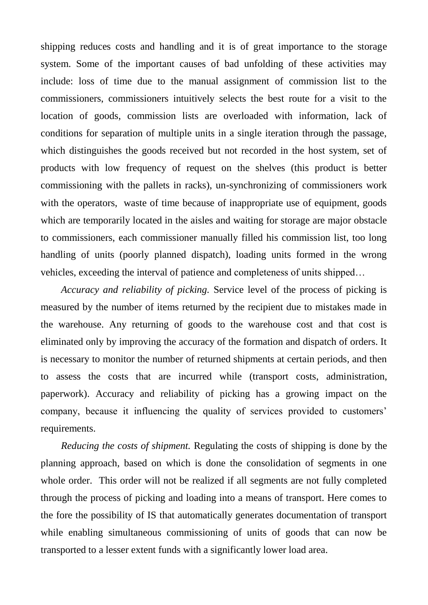shipping reduces costs and handling and it is of great importance to the storage system. Some of the important causes of bad unfolding of these activities may include: loss of time due to the manual assignment of commission list to the commissioners, commissioners intuitively selects the best route for a visit to the location of goods, commission lists are overloaded with information, lack of conditions for separation of multiple units in a single iteration through the passage, which distinguishes the goods received but not recorded in the host system, set of products with low frequency of request on the shelves (this product is better commissioning with the pallets in racks), un-synchronizing of commissioners work with the operators, waste of time because of inappropriate use of equipment, goods which are temporarily located in the aisles and waiting for storage are major obstacle to commissioners, each commissioner manually filled his commission list, too long handling of units (poorly planned dispatch), loading units formed in the wrong vehicles, exceeding the interval of patience and completeness of units shipped…

*Accuracy and reliability of picking.* Service level of the process of picking is measured by the number of items returned by the recipient due to mistakes made in the warehouse. Any returning of goods to the warehouse cost and that cost is eliminated only by improving the accuracy of the formation and dispatch of orders. It is necessary to monitor the number of returned shipments at certain periods, and then to assess the costs that are incurred while (transport costs, administration, paperwork). Accuracy and reliability of picking has a growing impact on the company, because it influencing the quality of services provided to customers' requirements.

*Reducing the costs of shipment.* Regulating the costs of shipping is done by the planning approach, based on which is done the consolidation of segments in one whole order. This order will not be realized if all segments are not fully completed through the process of picking and loading into a means of transport. Here comes to the fore the possibility of IS that automatically generates documentation of transport while enabling simultaneous commissioning of units of goods that can now be transported to a lesser extent funds with a significantly lower load area.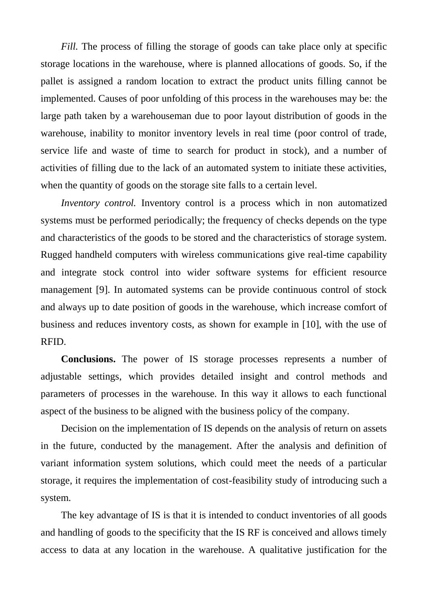*Fill.* The process of filling the storage of goods can take place only at specific storage locations in the warehouse, where is planned allocations of goods. So, if the pallet is assigned a random location to extract the product units filling cannot be implemented. Causes of poor unfolding of this process in the warehouses may be: the large path taken by a warehouseman due to poor layout distribution of goods in the warehouse, inability to monitor inventory levels in real time (poor control of trade, service life and waste of time to search for product in stock), and a number of activities of filling due to the lack of an automated system to initiate these activities, when the quantity of goods on the storage site falls to a certain level.

*Inventory control.* Inventory control is a process which in non automatized systems must be performed periodically; the frequency of checks depends on the type and characteristics of the goods to be stored and the characteristics of storage system. Rugged handheld computers with wireless communications give real-time capability and integrate stock control into wider software systems for efficient resource management [9]. In automated systems can be provide continuous control of stock and always up to date position of goods in the warehouse, which increase comfort of business and reduces inventory costs, as shown for example in [10], with the use of RFID.

**Conclusions.** The power of IS storage processes represents a number of adjustable settings, which provides detailed insight and control methods and parameters of processes in the warehouse. In this way it allows to each functional aspect of the business to be aligned with the business policy of the company.

Decision on the implementation of IS depends on the analysis of return on assets in the future, conducted by the management. After the analysis and definition of variant information system solutions, which could meet the needs of a particular storage, it requires the implementation of cost-feasibility study of introducing such a system.

The key advantage of IS is that it is intended to conduct inventories of all goods and handling of goods to the specificity that the IS RF is conceived and allows timely access to data at any location in the warehouse. A qualitative justification for the